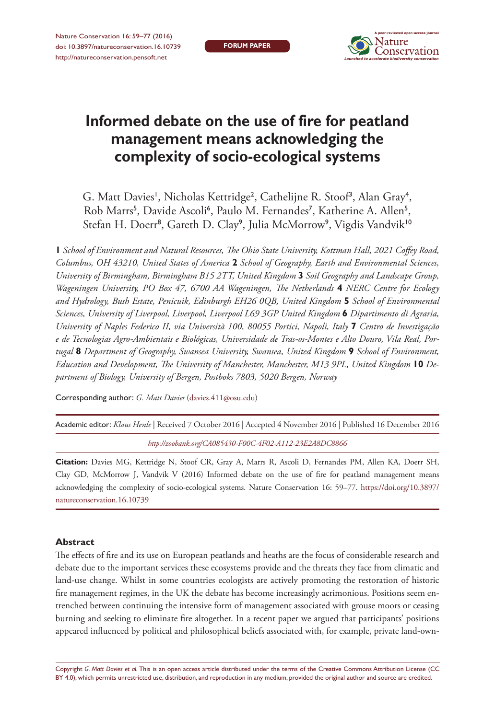*Informed debate on the use of fire for peatland management means...* 59 *Launched to accelerate biodiversity conservation* **A peer-reviewed open-access journal**

# **Informed debate on the use of fire for peatland management means acknowledging the complexity of socio-ecological systems**

G. Matt Davies<sup>1</sup>, Nicholas Kettridge<sup>2</sup>, Cathelijne R. Stoof<sup>3</sup>, Alan Gray<sup>4</sup>, Rob Marrs<sup>5</sup>, Davide Ascoli<sup>6</sup>, Paulo M. Fernandes<sup>7</sup>, Katherine A. Allen<sup>5</sup>, Stefan H. Doerr<sup>8</sup>, Gareth D. Clay<sup>9</sup>, Julia McMorrow<sup>9</sup>, Vigdis Vandvik<sup>10</sup>

**1** *School of Environment and Natural Resources, The Ohio State University, Kottman Hall, 2021 Coffey Road, Columbus, OH 43210, United States of America* **2** *School of Geography, Earth and Environmental Sciences, University of Birmingham, Birmingham B15 2TT, United Kingdom* **3** *Soil Geography and Landscape Group, Wageningen University, PO Box 47, 6700 AA Wageningen, The Netherlands* **4** *NERC Centre for Ecology and Hydrology, Bush Estate, Penicuik, Edinburgh EH26 0QB, United Kingdom* **5** *School of Environmental Sciences, University of Liverpool, Liverpool, Liverpool L69 3GP United Kingdom* **6** *Dipartimento di Agraria, University of Naples Federico II, via Università 100, 80055 Portici, Napoli, Italy* **7** *Centro de Investigação e de Tecnologias Agro-Ambientais e Biológicas, Universidade de Tras-os-Montes e Alto Douro, Vila Real, Portugal* **8** *Department of Geography, Swansea University, Swansea, United Kingdom* **9** *School of Environment,*  Education and Development, The University of Manchester, Manchester, M13 9PL, United Kingdom **10** De*partment of Biology, University of Bergen, Postboks 7803, 5020 Bergen, Norway*

Corresponding author: *G. Matt Davies* [\(davies.411@osu.edu](mailto:davies.411@osu.edu))

Academic editor: *Klaus Henle* | Received 7 October 2016 | Accepted 4 November 2016 | Published 16 December 2016

*<http://zoobank.org/CA085430-F00C-4F02-A112-23E2A8DC8866>*

**Citation:** Davies MG, Kettridge N, Stoof CR, Gray A, Marrs R, Ascoli D, Fernandes PM, Allen KA, Doerr SH, Clay GD, McMorrow J, Vandvik V (2016) Informed debate on the use of fire for peatland management means acknowledging the complexity of socio-ecological systems. Nature Conservation 16: 59–77. [https://doi.org/10.3897/](https://doi.org/10.3897/natureconservation.16.10739) [natureconservation.16.10739](https://doi.org/10.3897/natureconservation.16.10739)

#### **Abstract**

The effects of fire and its use on European peatlands and heaths are the focus of considerable research and debate due to the important services these ecosystems provide and the threats they face from climatic and land-use change. Whilst in some countries ecologists are actively promoting the restoration of historic fire management regimes, in the UK the debate has become increasingly acrimonious. Positions seem entrenched between continuing the intensive form of management associated with grouse moors or ceasing burning and seeking to eliminate fire altogether. In a recent paper we argued that participants' positions appeared influenced by political and philosophical beliefs associated with, for example, private land-own-

Copyright *G. Matt Davies et al.* This is an open access article distributed under the terms of the [Creative Commons Attribution License \(CC](http://creativecommons.org/licenses/by/4.0/)  [BY 4.0\)](http://creativecommons.org/licenses/by/4.0/), which permits unrestricted use, distribution, and reproduction in any medium, provided the original author and source are credited.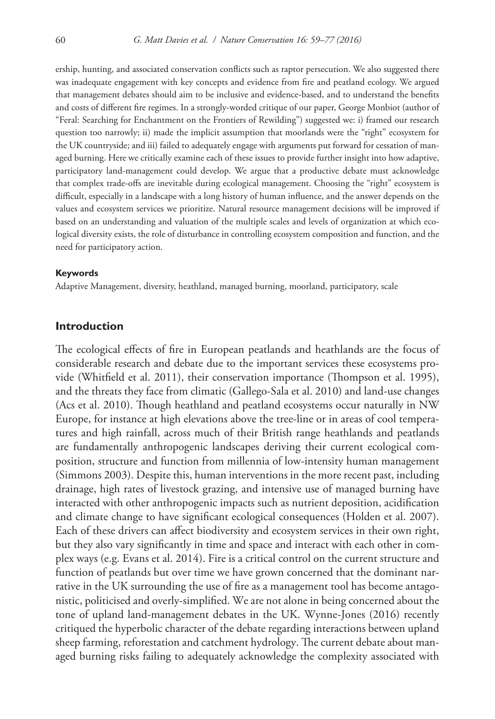ership, hunting, and associated conservation conflicts such as raptor persecution. We also suggested there was inadequate engagement with key concepts and evidence from fire and peatland ecology. We argued that management debates should aim to be inclusive and evidence-based, and to understand the benefits and costs of different fire regimes. In a strongly-worded critique of our paper, George Monbiot (author of "Feral: Searching for Enchantment on the Frontiers of Rewilding") suggested we: i) framed our research question too narrowly; ii) made the implicit assumption that moorlands were the "right" ecosystem for the UK countryside; and iii) failed to adequately engage with arguments put forward for cessation of managed burning. Here we critically examine each of these issues to provide further insight into how adaptive, participatory land-management could develop. We argue that a productive debate must acknowledge that complex trade-offs are inevitable during ecological management. Choosing the "right" ecosystem is difficult, especially in a landscape with a long history of human influence, and the answer depends on the values and ecosystem services we prioritize. Natural resource management decisions will be improved if based on an understanding and valuation of the multiple scales and levels of organization at which ecological diversity exists, the role of disturbance in controlling ecosystem composition and function, and the need for participatory action.

#### **Keywords**

Adaptive Management, diversity, heathland, managed burning, moorland, participatory, scale

#### **Introduction**

The ecological effects of fire in European peatlands and heathlands are the focus of considerable research and debate due to the important services these ecosystems provide (Whitfield et al. 2011), their conservation importance (Thompson et al. 1995), and the threats they face from climatic (Gallego-Sala et al. 2010) and land-use changes (Acs et al. 2010). Though heathland and peatland ecosystems occur naturally in NW Europe, for instance at high elevations above the tree-line or in areas of cool temperatures and high rainfall, across much of their British range heathlands and peatlands are fundamentally anthropogenic landscapes deriving their current ecological composition, structure and function from millennia of low-intensity human management (Simmons 2003). Despite this, human interventions in the more recent past, including drainage, high rates of livestock grazing, and intensive use of managed burning have interacted with other anthropogenic impacts such as nutrient deposition, acidification and climate change to have significant ecological consequences (Holden et al. 2007). Each of these drivers can affect biodiversity and ecosystem services in their own right, but they also vary significantly in time and space and interact with each other in complex ways (e.g. Evans et al. 2014). Fire is a critical control on the current structure and function of peatlands but over time we have grown concerned that the dominant narrative in the UK surrounding the use of fire as a management tool has become antagonistic, politicised and overly-simplified. We are not alone in being concerned about the tone of upland land-management debates in the UK. Wynne-Jones (2016) recently critiqued the hyperbolic character of the debate regarding interactions between upland sheep farming, reforestation and catchment hydrology. The current debate about managed burning risks failing to adequately acknowledge the complexity associated with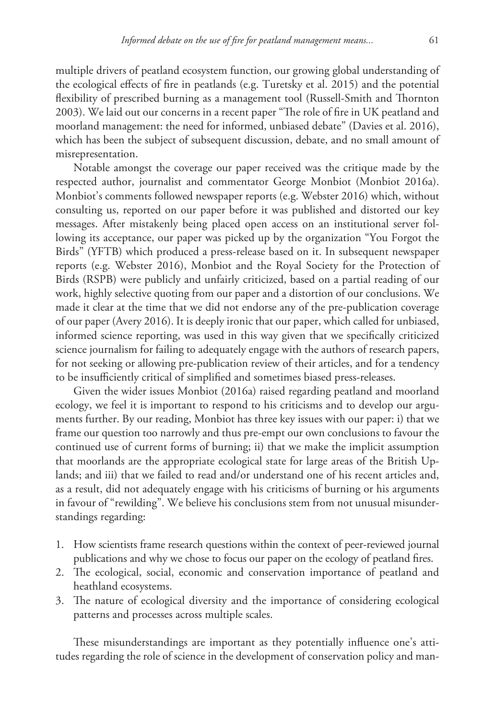multiple drivers of peatland ecosystem function, our growing global understanding of the ecological effects of fire in peatlands (e.g. Turetsky et al. 2015) and the potential flexibility of prescribed burning as a management tool (Russell-Smith and Thornton 2003). We laid out our concerns in a recent paper "The role of fire in UK peatland and moorland management: the need for informed, unbiased debate" (Davies et al. 2016), which has been the subject of subsequent discussion, debate, and no small amount of misrepresentation.

Notable amongst the coverage our paper received was the critique made by the respected author, journalist and commentator George Monbiot (Monbiot 2016a). Monbiot's comments followed newspaper reports (e.g. Webster 2016) which, without consulting us, reported on our paper before it was published and distorted our key messages. After mistakenly being placed open access on an institutional server following its acceptance, our paper was picked up by the organization "You Forgot the Birds" (YFTB) which produced a press-release based on it. In subsequent newspaper reports (e.g. Webster 2016), Monbiot and the Royal Society for the Protection of Birds (RSPB) were publicly and unfairly criticized, based on a partial reading of our work, highly selective quoting from our paper and a distortion of our conclusions. We made it clear at the time that we did not endorse any of the pre-publication coverage of our paper (Avery 2016). It is deeply ironic that our paper, which called for unbiased, informed science reporting, was used in this way given that we specifically criticized science journalism for failing to adequately engage with the authors of research papers, for not seeking or allowing pre-publication review of their articles, and for a tendency to be insufficiently critical of simplified and sometimes biased press-releases.

Given the wider issues Monbiot (2016a) raised regarding peatland and moorland ecology, we feel it is important to respond to his criticisms and to develop our arguments further. By our reading, Monbiot has three key issues with our paper: i) that we frame our question too narrowly and thus pre-empt our own conclusions to favour the continued use of current forms of burning; ii) that we make the implicit assumption that moorlands are the appropriate ecological state for large areas of the British Uplands; and iii) that we failed to read and/or understand one of his recent articles and, as a result, did not adequately engage with his criticisms of burning or his arguments in favour of "rewilding". We believe his conclusions stem from not unusual misunderstandings regarding:

- 1. How scientists frame research questions within the context of peer-reviewed journal publications and why we chose to focus our paper on the ecology of peatland fires.
- 2. The ecological, social, economic and conservation importance of peatland and heathland ecosystems.
- 3. The nature of ecological diversity and the importance of considering ecological patterns and processes across multiple scales.

These misunderstandings are important as they potentially influence one's attitudes regarding the role of science in the development of conservation policy and man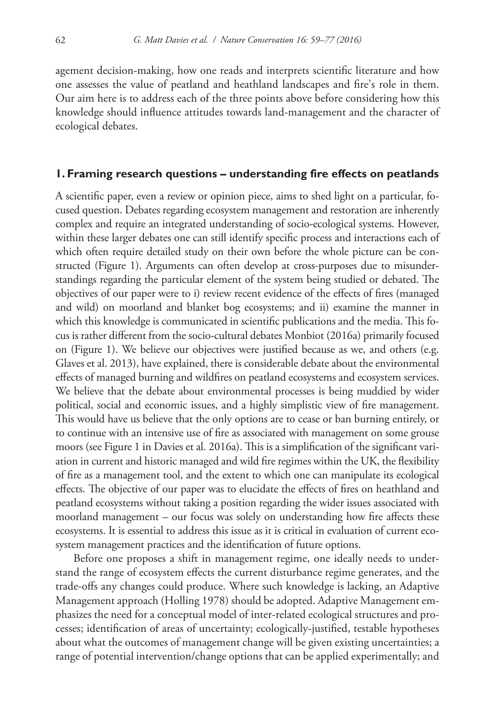agement decision-making, how one reads and interprets scientific literature and how one assesses the value of peatland and heathland landscapes and fire's role in them. Our aim here is to address each of the three points above before considering how this knowledge should influence attitudes towards land-management and the character of ecological debates.

#### **1. Framing research questions – understanding fire effects on peatlands**

A scientific paper, even a review or opinion piece, aims to shed light on a particular, focused question. Debates regarding ecosystem management and restoration are inherently complex and require an integrated understanding of socio-ecological systems. However, within these larger debates one can still identify specific process and interactions each of which often require detailed study on their own before the whole picture can be constructed (Figure 1). Arguments can often develop at cross-purposes due to misunderstandings regarding the particular element of the system being studied or debated. The objectives of our paper were to i) review recent evidence of the effects of fires (managed and wild) on moorland and blanket bog ecosystems; and ii) examine the manner in which this knowledge is communicated in scientific publications and the media. This focus is rather different from the socio-cultural debates Monbiot (2016a) primarily focused on (Figure 1). We believe our objectives were justified because as we, and others (e.g. Glaves et al. 2013), have explained, there is considerable debate about the environmental effects of managed burning and wildfires on peatland ecosystems and ecosystem services. We believe that the debate about environmental processes is being muddied by wider political, social and economic issues, and a highly simplistic view of fire management. This would have us believe that the only options are to cease or ban burning entirely, or to continue with an intensive use of fire as associated with management on some grouse moors (see Figure 1 in Davies et al. 2016a). This is a simplification of the significant variation in current and historic managed and wild fire regimes within the UK, the flexibility of fire as a management tool, and the extent to which one can manipulate its ecological effects. The objective of our paper was to elucidate the effects of fires on heathland and peatland ecosystems without taking a position regarding the wider issues associated with moorland management – our focus was solely on understanding how fire affects these ecosystems. It is essential to address this issue as it is critical in evaluation of current ecosystem management practices and the identification of future options.

Before one proposes a shift in management regime, one ideally needs to understand the range of ecosystem effects the current disturbance regime generates, and the trade-offs any changes could produce. Where such knowledge is lacking, an Adaptive Management approach (Holling 1978) should be adopted. Adaptive Management emphasizes the need for a conceptual model of inter-related ecological structures and processes; identification of areas of uncertainty; ecologically-justified, testable hypotheses about what the outcomes of management change will be given existing uncertainties; a range of potential intervention/change options that can be applied experimentally; and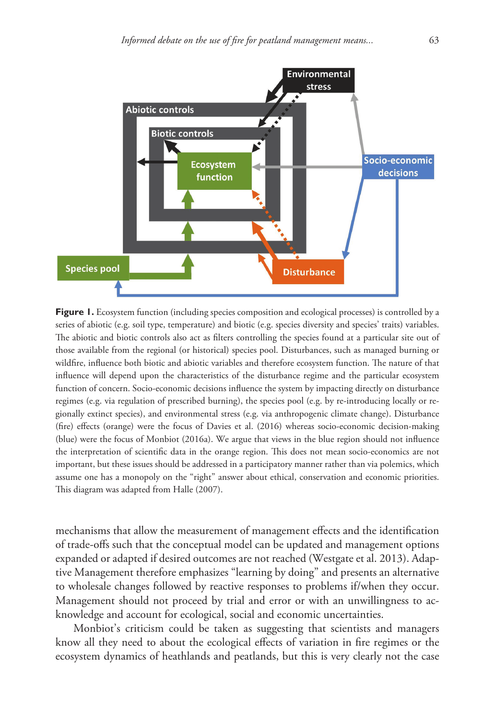

**Figure 1.** Ecosystem function (including species composition and ecological processes) is controlled by a series of abiotic (e.g. soil type, temperature) and biotic (e.g. species diversity and species' traits) variables. The abiotic and biotic controls also act as filters controlling the species found at a particular site out of those available from the regional (or historical) species pool. Disturbances, such as managed burning or wildfire, influence both biotic and abiotic variables and therefore ecosystem function. The nature of that influence will depend upon the characteristics of the disturbance regime and the particular ecosystem function of concern. Socio-economic decisions influence the system by impacting directly on disturbance regimes (e.g. via regulation of prescribed burning), the species pool (e.g. by re-introducing locally or regionally extinct species), and environmental stress (e.g. via anthropogenic climate change). Disturbance (fire) effects (orange) were the focus of Davies et al. (2016) whereas socio-economic decision-making (blue) were the focus of Monbiot (2016a). We argue that views in the blue region should not influence the interpretation of scientific data in the orange region. This does not mean socio-economics are not important, but these issues should be addressed in a participatory manner rather than via polemics, which assume one has a monopoly on the "right" answer about ethical, conservation and economic priorities. This diagram was adapted from Halle (2007).

mechanisms that allow the measurement of management effects and the identification of trade-offs such that the conceptual model can be updated and management options expanded or adapted if desired outcomes are not reached (Westgate et al. 2013). Adaptive Management therefore emphasizes "learning by doing" and presents an alternative to wholesale changes followed by reactive responses to problems if/when they occur. Management should not proceed by trial and error or with an unwillingness to acknowledge and account for ecological, social and economic uncertainties.

Monbiot's criticism could be taken as suggesting that scientists and managers know all they need to about the ecological effects of variation in fire regimes or the ecosystem dynamics of heathlands and peatlands, but this is very clearly not the case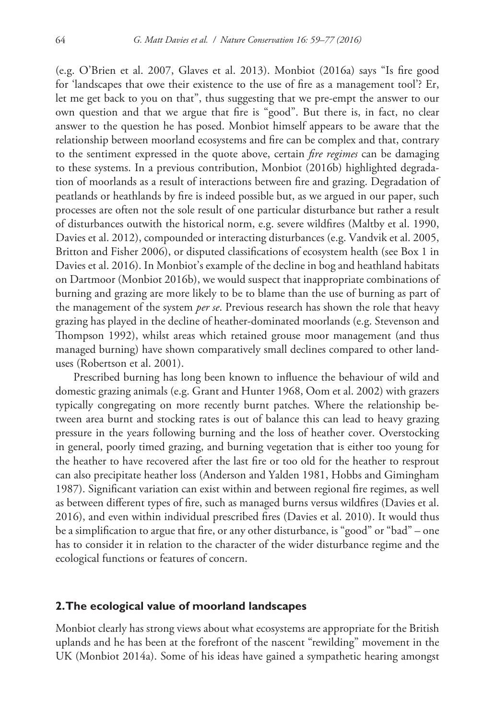(e.g. O'Brien et al. 2007, Glaves et al. 2013). Monbiot (2016a) says "Is fire good for 'landscapes that owe their existence to the use of fire as a management tool'? Er, let me get back to you on that", thus suggesting that we pre-empt the answer to our own question and that we argue that fire is "good". But there is, in fact, no clear answer to the question he has posed. Monbiot himself appears to be aware that the relationship between moorland ecosystems and fire can be complex and that, contrary to the sentiment expressed in the quote above, certain *fire regimes* can be damaging to these systems. In a previous contribution, Monbiot (2016b) highlighted degradation of moorlands as a result of interactions between fire and grazing. Degradation of peatlands or heathlands by fire is indeed possible but, as we argued in our paper, such processes are often not the sole result of one particular disturbance but rather a result of disturbances outwith the historical norm, e.g. severe wildfires (Maltby et al. 1990, Davies et al. 2012), compounded or interacting disturbances (e.g. Vandvik et al. 2005, Britton and Fisher 2006), or disputed classifications of ecosystem health (see Box 1 in Davies et al. 2016). In Monbiot's example of the decline in bog and heathland habitats on Dartmoor (Monbiot 2016b), we would suspect that inappropriate combinations of burning and grazing are more likely to be to blame than the use of burning as part of the management of the system *per se*. Previous research has shown the role that heavy grazing has played in the decline of heather-dominated moorlands (e.g. Stevenson and Thompson 1992), whilst areas which retained grouse moor management (and thus managed burning) have shown comparatively small declines compared to other landuses (Robertson et al. 2001).

Prescribed burning has long been known to influence the behaviour of wild and domestic grazing animals (e.g. Grant and Hunter 1968, Oom et al. 2002) with grazers typically congregating on more recently burnt patches. Where the relationship between area burnt and stocking rates is out of balance this can lead to heavy grazing pressure in the years following burning and the loss of heather cover. Overstocking in general, poorly timed grazing, and burning vegetation that is either too young for the heather to have recovered after the last fire or too old for the heather to resprout can also precipitate heather loss (Anderson and Yalden 1981, Hobbs and Gimingham 1987). Significant variation can exist within and between regional fire regimes, as well as between different types of fire, such as managed burns versus wildfires (Davies et al. 2016), and even within individual prescribed fires (Davies et al. 2010). It would thus be a simplification to argue that fire, or any other disturbance, is "good" or "bad" – one has to consider it in relation to the character of the wider disturbance regime and the ecological functions or features of concern.

## **2. The ecological value of moorland landscapes**

Monbiot clearly has strong views about what ecosystems are appropriate for the British uplands and he has been at the forefront of the nascent "rewilding" movement in the UK (Monbiot 2014a). Some of his ideas have gained a sympathetic hearing amongst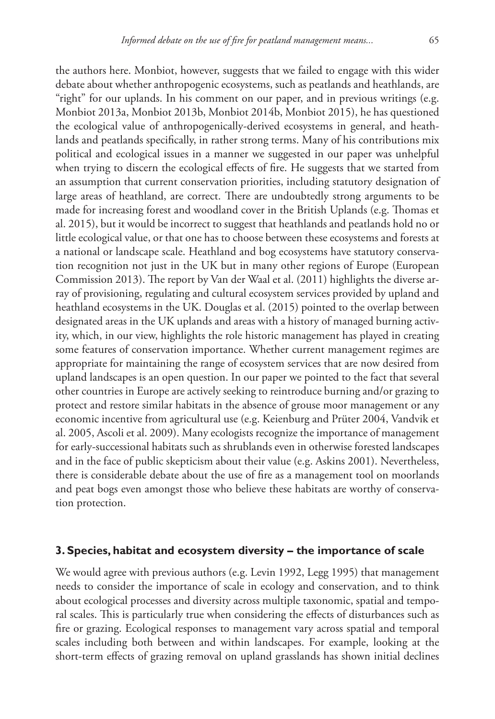the authors here. Monbiot, however, suggests that we failed to engage with this wider debate about whether anthropogenic ecosystems, such as peatlands and heathlands, are "right" for our uplands. In his comment on our paper, and in previous writings (e.g. Monbiot 2013a, Monbiot 2013b, Monbiot 2014b, Monbiot 2015), he has questioned the ecological value of anthropogenically-derived ecosystems in general, and heathlands and peatlands specifically, in rather strong terms. Many of his contributions mix political and ecological issues in a manner we suggested in our paper was unhelpful when trying to discern the ecological effects of fire. He suggests that we started from an assumption that current conservation priorities, including statutory designation of large areas of heathland, are correct. There are undoubtedly strong arguments to be made for increasing forest and woodland cover in the British Uplands (e.g. Thomas et al. 2015), but it would be incorrect to suggest that heathlands and peatlands hold no or little ecological value, or that one has to choose between these ecosystems and forests at a national or landscape scale. Heathland and bog ecosystems have statutory conservation recognition not just in the UK but in many other regions of Europe (European Commission 2013). The report by Van der Waal et al. (2011) highlights the diverse array of provisioning, regulating and cultural ecosystem services provided by upland and heathland ecosystems in the UK. Douglas et al. (2015) pointed to the overlap between designated areas in the UK uplands and areas with a history of managed burning activity, which, in our view, highlights the role historic management has played in creating some features of conservation importance. Whether current management regimes are appropriate for maintaining the range of ecosystem services that are now desired from upland landscapes is an open question. In our paper we pointed to the fact that several other countries in Europe are actively seeking to reintroduce burning and/or grazing to protect and restore similar habitats in the absence of grouse moor management or any economic incentive from agricultural use (e.g. Keienburg and Prüter 2004, Vandvik et al. 2005, Ascoli et al. 2009). Many ecologists recognize the importance of management for early-successional habitats such as shrublands even in otherwise forested landscapes and in the face of public skepticism about their value (e.g. Askins 2001). Nevertheless, there is considerable debate about the use of fire as a management tool on moorlands and peat bogs even amongst those who believe these habitats are worthy of conservation protection.

## **3. Species, habitat and ecosystem diversity – the importance of scale**

We would agree with previous authors (e.g. Levin 1992, Legg 1995) that management needs to consider the importance of scale in ecology and conservation, and to think about ecological processes and diversity across multiple taxonomic, spatial and temporal scales. This is particularly true when considering the effects of disturbances such as fire or grazing. Ecological responses to management vary across spatial and temporal scales including both between and within landscapes. For example, looking at the short-term effects of grazing removal on upland grasslands has shown initial declines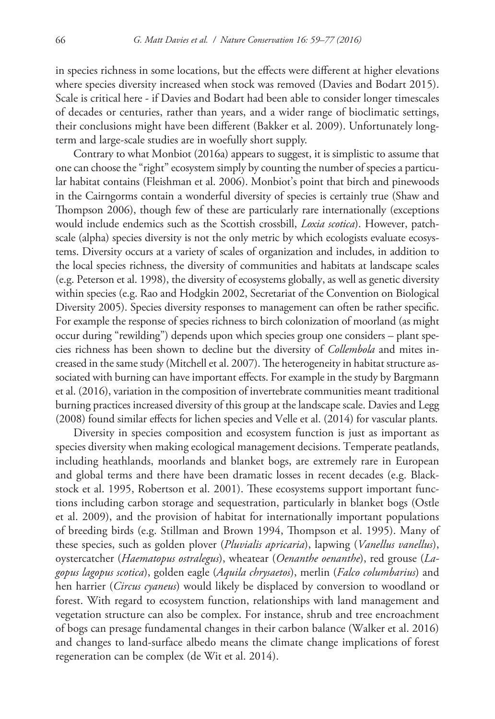in species richness in some locations, but the effects were different at higher elevations where species diversity increased when stock was removed (Davies and Bodart 2015). Scale is critical here - if Davies and Bodart had been able to consider longer timescales of decades or centuries, rather than years, and a wider range of bioclimatic settings, their conclusions might have been different (Bakker et al. 2009). Unfortunately longterm and large-scale studies are in woefully short supply.

Contrary to what Monbiot (2016a) appears to suggest, it is simplistic to assume that one can choose the "right" ecosystem simply by counting the number of species a particular habitat contains (Fleishman et al. 2006). Monbiot's point that birch and pinewoods in the Cairngorms contain a wonderful diversity of species is certainly true (Shaw and Thompson 2006), though few of these are particularly rare internationally (exceptions would include endemics such as the Scottish crossbill, *Loxia scotica*). However, patchscale (alpha) species diversity is not the only metric by which ecologists evaluate ecosystems. Diversity occurs at a variety of scales of organization and includes, in addition to the local species richness, the diversity of communities and habitats at landscape scales (e.g. Peterson et al. 1998), the diversity of ecosystems globally, as well as genetic diversity within species (e.g. Rao and Hodgkin 2002, Secretariat of the Convention on Biological Diversity 2005). Species diversity responses to management can often be rather specific. For example the response of species richness to birch colonization of moorland (as might occur during "rewilding") depends upon which species group one considers – plant species richness has been shown to decline but the diversity of *Collembola* and mites increased in the same study (Mitchell et al. 2007). The heterogeneity in habitat structure associated with burning can have important effects. For example in the study by Bargmann et al. (2016), variation in the composition of invertebrate communities meant traditional burning practices increased diversity of this group at the landscape scale. Davies and Legg (2008) found similar effects for lichen species and Velle et al. (2014) for vascular plants.

Diversity in species composition and ecosystem function is just as important as species diversity when making ecological management decisions. Temperate peatlands, including heathlands, moorlands and blanket bogs, are extremely rare in European and global terms and there have been dramatic losses in recent decades (e.g. Blackstock et al. 1995, Robertson et al. 2001). These ecosystems support important functions including carbon storage and sequestration, particularly in blanket bogs (Ostle et al. 2009), and the provision of habitat for internationally important populations of breeding birds (e.g. Stillman and Brown 1994, Thompson et al. 1995). Many of these species, such as golden plover (*Pluvialis apricaria*), lapwing (*Vanellus vanellus*), oystercatcher (*Haematopus ostralegus*), wheatear (*Oenanthe oenanthe*), red grouse (*Lagopus lagopus scotica*), golden eagle (*Aquila chrysaetos*), merlin (*Falco columbarius*) and hen harrier (*Circus cyaneus*) would likely be displaced by conversion to woodland or forest. With regard to ecosystem function, relationships with land management and vegetation structure can also be complex. For instance, shrub and tree encroachment of bogs can presage fundamental changes in their carbon balance (Walker et al. 2016) and changes to land-surface albedo means the climate change implications of forest regeneration can be complex (de Wit et al. 2014).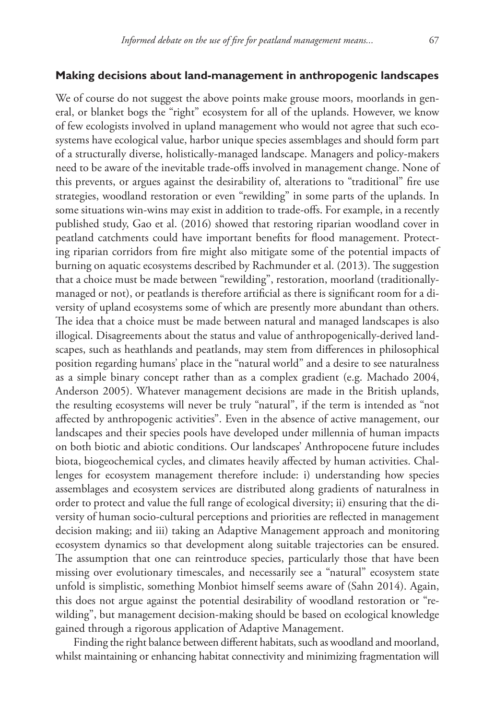### **Making decisions about land-management in anthropogenic landscapes**

We of course do not suggest the above points make grouse moors, moorlands in general, or blanket bogs the "right" ecosystem for all of the uplands. However, we know of few ecologists involved in upland management who would not agree that such ecosystems have ecological value, harbor unique species assemblages and should form part of a structurally diverse, holistically-managed landscape. Managers and policy-makers need to be aware of the inevitable trade-offs involved in management change. None of this prevents, or argues against the desirability of, alterations to "traditional" fire use strategies, woodland restoration or even "rewilding" in some parts of the uplands. In some situations win-wins may exist in addition to trade-offs. For example, in a recently published study, Gao et al. (2016) showed that restoring riparian woodland cover in peatland catchments could have important benefits for flood management. Protecting riparian corridors from fire might also mitigate some of the potential impacts of burning on aquatic ecosystems described by Rachmunder et al. (2013). The suggestion that a choice must be made between "rewilding", restoration, moorland (traditionallymanaged or not), or peatlands is therefore artificial as there is significant room for a diversity of upland ecosystems some of which are presently more abundant than others. The idea that a choice must be made between natural and managed landscapes is also illogical. Disagreements about the status and value of anthropogenically-derived landscapes, such as heathlands and peatlands, may stem from differences in philosophical position regarding humans' place in the "natural world" and a desire to see naturalness as a simple binary concept rather than as a complex gradient (e.g. Machado 2004, Anderson 2005). Whatever management decisions are made in the British uplands, the resulting ecosystems will never be truly "natural", if the term is intended as "not affected by anthropogenic activities". Even in the absence of active management, our landscapes and their species pools have developed under millennia of human impacts on both biotic and abiotic conditions. Our landscapes' Anthropocene future includes biota, biogeochemical cycles, and climates heavily affected by human activities. Challenges for ecosystem management therefore include: i) understanding how species assemblages and ecosystem services are distributed along gradients of naturalness in order to protect and value the full range of ecological diversity; ii) ensuring that the diversity of human socio-cultural perceptions and priorities are reflected in management decision making; and iii) taking an Adaptive Management approach and monitoring ecosystem dynamics so that development along suitable trajectories can be ensured. The assumption that one can reintroduce species, particularly those that have been missing over evolutionary timescales, and necessarily see a "natural" ecosystem state unfold is simplistic, something Monbiot himself seems aware of (Sahn 2014). Again, this does not argue against the potential desirability of woodland restoration or "rewilding", but management decision-making should be based on ecological knowledge gained through a rigorous application of Adaptive Management.

Finding the right balance between different habitats, such as woodland and moorland, whilst maintaining or enhancing habitat connectivity and minimizing fragmentation will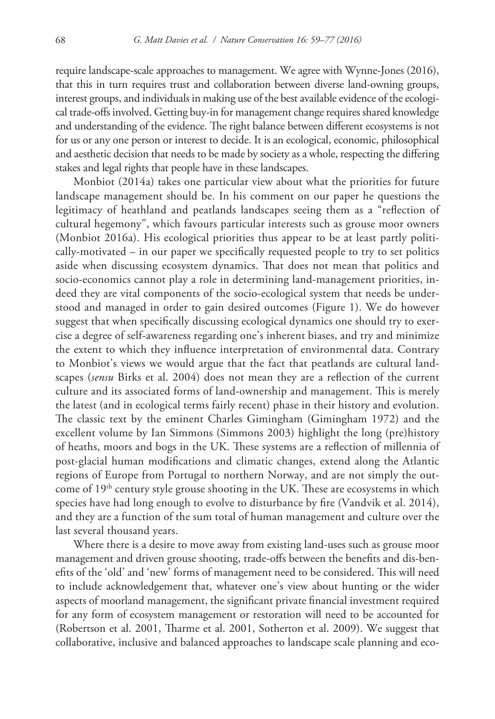require landscape-scale approaches to management. We agree with Wynne-Jones (2016), that this in turn requires trust and collaboration between diverse land-owning groups, interest groups, and individuals in making use of the best available evidence of the ecological trade-offs involved. Getting buy-in for management change requires shared knowledge and understanding of the evidence. The right balance between different ecosystems is not for us or any one person or interest to decide. It is an ecological, economic, philosophical and aesthetic decision that needs to be made by society as a whole, respecting the differing stakes and legal rights that people have in these landscapes.

Monbiot (2014a) takes one particular view about what the priorities for future landscape management should be. In his comment on our paper he questions the legitimacy of heathland and peatlands landscapes seeing them as a "reflection of cultural hegemony", which favours particular interests such as grouse moor owners (Monbiot 2016a). His ecological priorities thus appear to be at least partly politically-motivated – in our paper we specifically requested people to try to set politics aside when discussing ecosystem dynamics. That does not mean that politics and socio-economics cannot play a role in determining land-management priorities, indeed they are vital components of the socio-ecological system that needs be understood and managed in order to gain desired outcomes (Figure 1). We do however suggest that when specifically discussing ecological dynamics one should try to exercise a degree of self-awareness regarding one's inherent biases, and try and minimize the extent to which they influence interpretation of environmental data. Contrary to Monbiot's views we would argue that the fact that peatlands are cultural landscapes (*sensu* Birks et al. 2004) does not mean they are a reflection of the current culture and its associated forms of land-ownership and management. This is merely the latest (and in ecological terms fairly recent) phase in their history and evolution. The classic text by the eminent Charles Gimingham (Gimingham 1972) and the excellent volume by Ian Simmons (Simmons 2003) highlight the long (pre)history of heaths, moors and bogs in the UK. These systems are a reflection of millennia of post-glacial human modifications and climatic changes, extend along the Atlantic regions of Europe from Portugal to northern Norway, and are not simply the outcome of 19<sup>th</sup> century style grouse shooting in the UK. These are ecosystems in which species have had long enough to evolve to disturbance by fire (Vandvik et al. 2014), and they are a function of the sum total of human management and culture over the last several thousand years.

Where there is a desire to move away from existing land-uses such as grouse moor management and driven grouse shooting, trade-offs between the benefits and dis-benefits of the 'old' and 'new' forms of management need to be considered. This will need to include acknowledgement that, whatever one's view about hunting or the wider aspects of moorland management, the significant private financial investment required for any form of ecosystem management or restoration will need to be accounted for (Robertson et al. 2001, Tharme et al. 2001, Sotherton et al. 2009). We suggest that collaborative, inclusive and balanced approaches to landscape scale planning and eco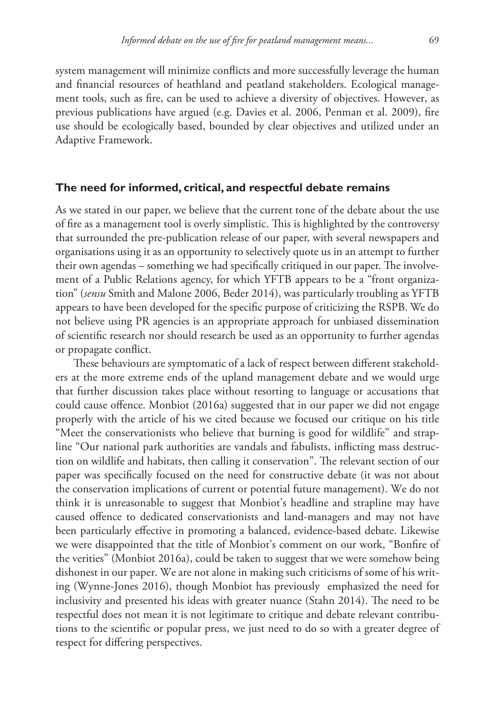system management will minimize conflicts and more successfully leverage the human and financial resources of heathland and peatland stakeholders. Ecological management tools, such as fire, can be used to achieve a diversity of objectives. However, as previous publications have argued (e.g. Davies et al. 2006, Penman et al. 2009), fire use should be ecologically based, bounded by clear objectives and utilized under an Adaptive Framework.

#### **The need for informed, critical, and respectful debate remains**

As we stated in our paper, we believe that the current tone of the debate about the use of fire as a management tool is overly simplistic. This is highlighted by the controversy that surrounded the pre-publication release of our paper, with several newspapers and organisations using it as an opportunity to selectively quote us in an attempt to further their own agendas – something we had specifically critiqued in our paper. The involvement of a Public Relations agency, for which YFTB appears to be a "front organization" (*sensu* Smith and Malone 2006, Beder 2014), was particularly troubling as YFTB appears to have been developed for the specific purpose of criticizing the RSPB. We do not believe using PR agencies is an appropriate approach for unbiased dissemination of scientific research nor should research be used as an opportunity to further agendas or propagate conflict.

These behaviours are symptomatic of a lack of respect between different stakeholders at the more extreme ends of the upland management debate and we would urge that further discussion takes place without resorting to language or accusations that could cause offence. Monbiot (2016a) suggested that in our paper we did not engage properly with the article of his we cited because we focused our critique on his title "Meet the conservationists who believe that burning is good for wildlife" and strapline "Our national park authorities are vandals and fabulists, inflicting mass destruction on wildlife and habitats, then calling it conservation". The relevant section of our paper was specifically focused on the need for constructive debate (it was not about the conservation implications of current or potential future management). We do not think it is unreasonable to suggest that Monbiot's headline and strapline may have caused offence to dedicated conservationists and land-managers and may not have been particularly effective in promoting a balanced, evidence-based debate. Likewise we were disappointed that the title of Monbiot's comment on our work, "Bonfire of the verities" (Monbiot 2016a), could be taken to suggest that we were somehow being dishonest in our paper. We are not alone in making such criticisms of some of his writing (Wynne-Jones 2016), though Monbiot has previously emphasized the need for inclusivity and presented his ideas with greater nuance (Stahn 2014). The need to be respectful does not mean it is not legitimate to critique and debate relevant contributions to the scientific or popular press, we just need to do so with a greater degree of respect for differing perspectives.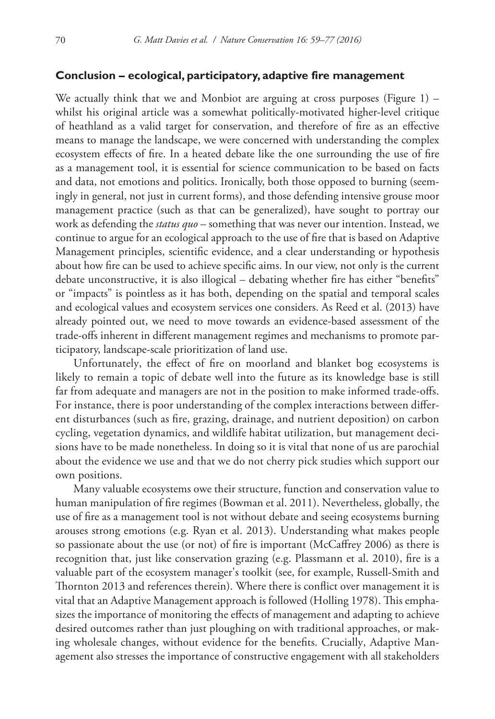## **Conclusion – ecological, participatory, adaptive fire management**

We actually think that we and Monbiot are arguing at cross purposes (Figure 1) – whilst his original article was a somewhat politically-motivated higher-level critique of heathland as a valid target for conservation, and therefore of fire as an effective means to manage the landscape, we were concerned with understanding the complex ecosystem effects of fire. In a heated debate like the one surrounding the use of fire as a management tool, it is essential for science communication to be based on facts and data, not emotions and politics. Ironically, both those opposed to burning (seemingly in general, not just in current forms), and those defending intensive grouse moor management practice (such as that can be generalized), have sought to portray our work as defending the *status quo* – something that was never our intention. Instead, we continue to argue for an ecological approach to the use of fire that is based on Adaptive Management principles, scientific evidence, and a clear understanding or hypothesis about how fire can be used to achieve specific aims. In our view, not only is the current debate unconstructive, it is also illogical – debating whether fire has either "benefits" or "impacts" is pointless as it has both, depending on the spatial and temporal scales and ecological values and ecosystem services one considers. As Reed et al. (2013) have already pointed out, we need to move towards an evidence-based assessment of the trade-offs inherent in different management regimes and mechanisms to promote participatory, landscape-scale prioritization of land use.

Unfortunately, the effect of fire on moorland and blanket bog ecosystems is likely to remain a topic of debate well into the future as its knowledge base is still far from adequate and managers are not in the position to make informed trade-offs. For instance, there is poor understanding of the complex interactions between different disturbances (such as fire, grazing, drainage, and nutrient deposition) on carbon cycling, vegetation dynamics, and wildlife habitat utilization, but management decisions have to be made nonetheless. In doing so it is vital that none of us are parochial about the evidence we use and that we do not cherry pick studies which support our own positions.

Many valuable ecosystems owe their structure, function and conservation value to human manipulation of fire regimes (Bowman et al. 2011). Nevertheless, globally, the use of fire as a management tool is not without debate and seeing ecosystems burning arouses strong emotions (e.g. Ryan et al. 2013). Understanding what makes people so passionate about the use (or not) of fire is important (McCaffrey 2006) as there is recognition that, just like conservation grazing (e.g. Plassmann et al. 2010), fire is a valuable part of the ecosystem manager's toolkit (see, for example, Russell-Smith and Thornton 2013 and references therein). Where there is conflict over management it is vital that an Adaptive Management approach is followed (Holling 1978). This emphasizes the importance of monitoring the effects of management and adapting to achieve desired outcomes rather than just ploughing on with traditional approaches, or making wholesale changes, without evidence for the benefits. Crucially, Adaptive Management also stresses the importance of constructive engagement with all stakeholders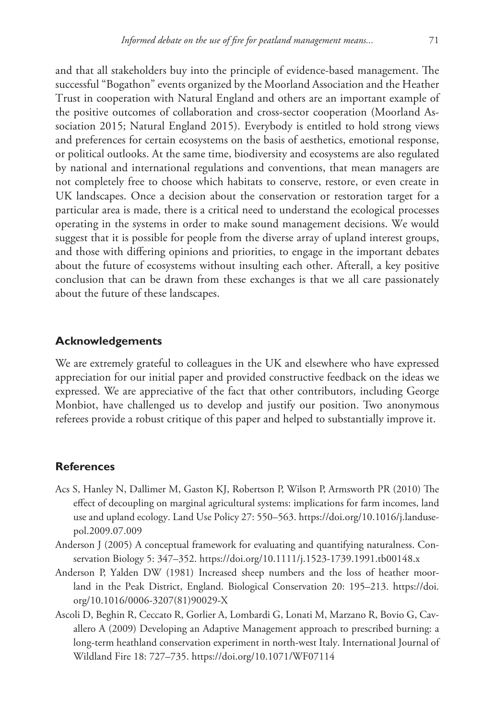and that all stakeholders buy into the principle of evidence-based management. The successful "Bogathon" events organized by the Moorland Association and the Heather Trust in cooperation with Natural England and others are an important example of the positive outcomes of collaboration and cross-sector cooperation (Moorland Association 2015; Natural England 2015). Everybody is entitled to hold strong views and preferences for certain ecosystems on the basis of aesthetics, emotional response, or political outlooks. At the same time, biodiversity and ecosystems are also regulated by national and international regulations and conventions, that mean managers are not completely free to choose which habitats to conserve, restore, or even create in UK landscapes. Once a decision about the conservation or restoration target for a particular area is made, there is a critical need to understand the ecological processes operating in the systems in order to make sound management decisions. We would suggest that it is possible for people from the diverse array of upland interest groups, and those with differing opinions and priorities, to engage in the important debates about the future of ecosystems without insulting each other. Afterall, a key positive conclusion that can be drawn from these exchanges is that we all care passionately about the future of these landscapes.

## **Acknowledgements**

We are extremely grateful to colleagues in the UK and elsewhere who have expressed appreciation for our initial paper and provided constructive feedback on the ideas we expressed. We are appreciative of the fact that other contributors, including George Monbiot, have challenged us to develop and justify our position. Two anonymous referees provide a robust critique of this paper and helped to substantially improve it.

## **References**

- Acs S, Hanley N, Dallimer M, Gaston KJ, Robertson P, Wilson P, Armsworth PR (2010) The effect of decoupling on marginal agricultural systems: implications for farm incomes, land use and upland ecology. Land Use Policy 27: 550–563. [https://doi.org/10.1016/j.landuse](https://doi.org/10.1016/j.landusepol.2009.07.009)[pol.2009.07.009](https://doi.org/10.1016/j.landusepol.2009.07.009)
- Anderson J (2005) A conceptual framework for evaluating and quantifying naturalness. Conservation Biology 5: 347–352. <https://doi.org/10.1111/j.1523-1739.1991.tb00148.x>
- Anderson P, Yalden DW (1981) Increased sheep numbers and the loss of heather moorland in the Peak District, England. Biological Conservation 20: 195–213. [https://doi.](https://doi.org/10.1016/0006-3207(81) [org/10.1016/0006-3207\(81](https://doi.org/10.1016/0006-3207(81))90029-X
- Ascoli D, Beghin R, Ceccato R, Gorlier A, Lombardi G, Lonati M, Marzano R, Bovio G, Cavallero A (2009) Developing an Adaptive Management approach to prescribed burning: a long-term heathland conservation experiment in north-west Italy. International Journal of Wildland Fire 18: 727–735.<https://doi.org/10.1071/WF07114>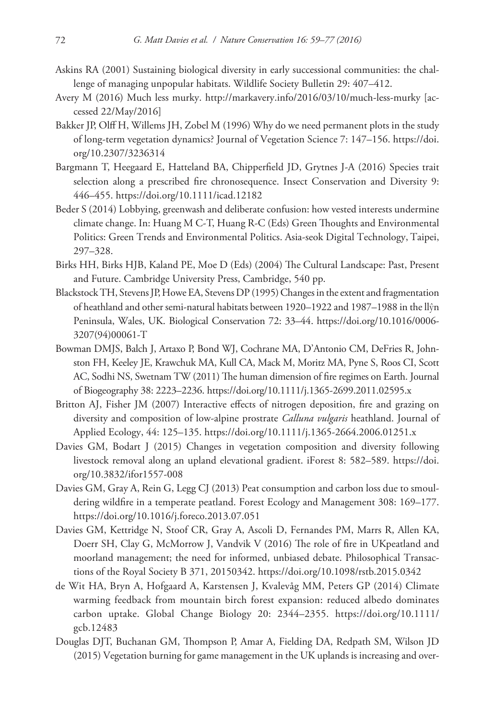- Askins RA (2001) Sustaining biological diversity in early successional communities: the challenge of managing unpopular habitats. Wildlife Society Bulletin 29: 407–412.
- Avery M (2016) Much less murky. <http://markavery.info/2016/03/10/much-less-murky>[accessed 22/May/2016]
- Bakker JP, Olff H, Willems JH, Zobel M (1996) Why do we need permanent plots in the study of long-term vegetation dynamics? Journal of Vegetation Science 7: 147–156. [https://doi.](https://doi.org/10.2307/3236314) [org/10.2307/3236314](https://doi.org/10.2307/3236314)
- Bargmann T, Heegaard E, Hatteland BA, Chipperfield JD, Grytnes J-A (2016) Species trait selection along a prescribed fire chronosequence. Insect Conservation and Diversity 9: 446–455.<https://doi.org/10.1111/icad.12182>
- Beder S (2014) Lobbying, greenwash and deliberate confusion: how vested interests undermine climate change. In: Huang M C-T, Huang R-C (Eds) Green Thoughts and Environmental Politics: Green Trends and Environmental Politics. Asia-seok Digital Technology, Taipei, 297–328.
- Birks HH, Birks HJB, Kaland PE, Moe D (Eds) (2004) The Cultural Landscape: Past, Present and Future. Cambridge University Press, Cambridge, 540 pp.
- Blackstock TH, Stevens JP, Howe EA, Stevens DP (1995) Changes in the extent and fragmentation of heathland and other semi-natural habitats between 1920–1922 and 1987–1988 in the llŷn Peninsula, Wales, UK. Biological Conservation 72: 33–44. [https://doi.org/10.1016/0006-](https://doi.org/10.1016/0006-3207(94) [3207\(94\)](https://doi.org/10.1016/0006-3207(94)00061-T
- Bowman DMJS, Balch J, Artaxo P, Bond WJ, Cochrane MA, D'Antonio CM, DeFries R, Johnston FH, Keeley JE, Krawchuk MA, Kull CA, Mack M, Moritz MA, Pyne S, Roos CI, Scott AC, Sodhi NS, Swetnam TW (2011) The human dimension of fire regimes on Earth. Journal of Biogeography 38: 2223–2236. <https://doi.org/10.1111/j.1365-2699.2011.02595.x>
- Britton AJ, Fisher JM (2007) Interactive effects of nitrogen deposition, fire and grazing on diversity and composition of low-alpine prostrate *Calluna vulgaris* heathland. Journal of Applied Ecology, 44: 125–135.<https://doi.org/10.1111/j.1365-2664.2006.01251.x>
- Davies GM, Bodart J (2015) Changes in vegetation composition and diversity following livestock removal along an upland elevational gradient. iForest 8: 582–589. [https://doi.](https://doi.org/10.3832/ifor1557-008) [org/10.3832/ifor1557-008](https://doi.org/10.3832/ifor1557-008)
- Davies GM, Gray A, Rein G, Legg CJ (2013) Peat consumption and carbon loss due to smouldering wildfire in a temperate peatland. Forest Ecology and Management 308: 169–177. <https://doi.org/10.1016/j.foreco.2013.07.051>
- Davies GM, Kettridge N, Stoof CR, Gray A, Ascoli D, Fernandes PM, Marrs R, Allen KA, Doerr SH, Clay G, McMorrow J, Vandvik V (2016) The role of fire in UKpeatland and moorland management; the need for informed, unbiased debate. Philosophical Transactions of the Royal Society B 371, 20150342. <https://doi.org/10.1098/rstb.2015.0342>
- de Wit HA, Bryn A, Hofgaard A, Karstensen J, Kvalevåg MM, Peters GP (2014) Climate warming feedback from mountain birch forest expansion: reduced albedo dominates carbon uptake. Global Change Biology 20: 2344–2355. [https://doi.org/10.1111/](https://doi.org/10.1111/gcb.12483) [gcb.12483](https://doi.org/10.1111/gcb.12483)
- Douglas DJT, Buchanan GM, Thompson P, Amar A, Fielding DA, Redpath SM, Wilson JD (2015) Vegetation burning for game management in the UK uplands is increasing and over-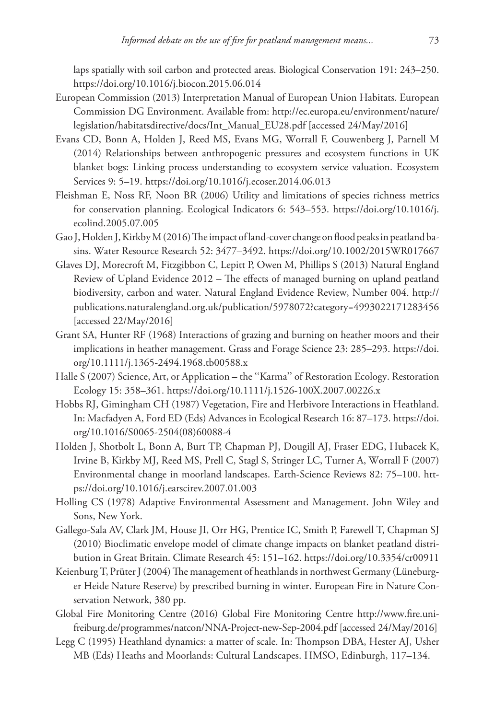laps spatially with soil carbon and protected areas. Biological Conservation 191: 243–250. <https://doi.org/10.1016/j.biocon.2015.06.014>

- European Commission (2013) Interpretation Manual of European Union Habitats. European Commission DG Environment. Available from: [http://ec.europa.eu/environment/nature/](http://ec.europa.eu/environment/nature/legislation/habitatsdirective/docs/Int_Manual_EU28.pdf) [legislation/habitatsdirective/docs/Int\\_Manual\\_EU28.pdf](http://ec.europa.eu/environment/nature/legislation/habitatsdirective/docs/Int_Manual_EU28.pdf) [accessed 24/May/2016]
- Evans CD, Bonn A, Holden J, Reed MS, Evans MG, Worrall F, Couwenberg J, Parnell M (2014) Relationships between anthropogenic pressures and ecosystem functions in UK blanket bogs: Linking process understanding to ecosystem service valuation. Ecosystem Services 9: 5–19.<https://doi.org/10.1016/j.ecoser.2014.06.013>
- Fleishman E, Noss RF, Noon BR (2006) Utility and limitations of species richness metrics for conservation planning. Ecological Indicators 6: 543–553. [https://doi.org/10.1016/j.](https://doi.org/10.1016/j.ecolind.2005.07.005) [ecolind.2005.07.005](https://doi.org/10.1016/j.ecolind.2005.07.005)
- Gao J, Holden J, Kirkby M(2016) The impact of land-cover change on flood peaks in peatland basins. Water Resource Research 52: 3477–3492. <https://doi.org/10.1002/2015WR017667>
- Glaves DJ, Morecroft M, Fitzgibbon C, Lepitt P, Owen M, Phillips S (2013) Natural England Review of Upland Evidence 2012 – The effects of managed burning on upland peatland biodiversity, carbon and water. Natural England Evidence Review, Number 004. [http://](http://publications.naturalengland.org.uk/publication/5978072?category=4993022171283456) [publications.naturalengland.org.uk/publication/5978072?category=4993022171283456](http://publications.naturalengland.org.uk/publication/5978072?category=4993022171283456) [accessed 22/May/2016]
- Grant SA, Hunter RF (1968) Interactions of grazing and burning on heather moors and their implications in heather management. Grass and Forage Science 23: 285–293. [https://doi.](https://doi.org/10.1111/j.1365-2494.1968.tb00588.x) [org/10.1111/j.1365-2494.1968.tb00588.x](https://doi.org/10.1111/j.1365-2494.1968.tb00588.x)
- Halle S (2007) Science, Art, or Application the ''Karma'' of Restoration Ecology. Restoration Ecology 15: 358–361. <https://doi.org/10.1111/j.1526-100X.2007.00226.x>
- Hobbs RJ, Gimingham CH (1987) Vegetation, Fire and Herbivore Interactions in Heathland. In: Macfadyen A, Ford ED (Eds) Advances in Ecological Research 16: 87–173. [https://doi.](https://doi.org/10.1016/S0065-2504(08) [org/10.1016/S0065-2504\(08](https://doi.org/10.1016/S0065-2504(08))60088-4
- Holden J, Shotbolt L, Bonn A, Burt TP, Chapman PJ, Dougill AJ, Fraser EDG, Hubacek K, Irvine B, Kirkby MJ, Reed MS, Prell C, Stagl S, Stringer LC, Turner A, Worrall F (2007) Environmental change in moorland landscapes. Earth-Science Reviews 82: 75–100. [htt](https://doi.org/10.1016/j.earscirev.2007.01.003)[ps://doi.org/10.1016/j.earscirev.2007.01.003](https://doi.org/10.1016/j.earscirev.2007.01.003)
- Holling CS (1978) Adaptive Environmental Assessment and Management. John Wiley and Sons, New York.
- Gallego-Sala AV, Clark JM, House JI, Orr HG, Prentice IC, Smith P, Farewell T, Chapman SJ (2010) Bioclimatic envelope model of climate change impacts on blanket peatland distribution in Great Britain. Climate Research 45: 151–162. <https://doi.org/10.3354/cr00911>
- Keienburg T, Prüter J(2004) The management of heathlands in northwest Germany (Lüneburger Heide Nature Reserve) by prescribed burning in winter. European Fire in Nature Conservation Network, 380 pp.
- Global Fire Monitoring Centre (2016) Global Fire Monitoring Centre [http://www.fire.uni](http://www.fire.uni-freiburg.de/programmes/natcon/NNA-Project-new-Sep-2004.pdf)[freiburg.de/programmes/natcon/NNA-Project-new-Sep-2004.pdf](http://www.fire.uni-freiburg.de/programmes/natcon/NNA-Project-new-Sep-2004.pdf) [accessed 24/May/2016]
- Legg C (1995) Heathland dynamics: a matter of scale. In: Thompson DBA, Hester AJ, Usher MB (Eds) Heaths and Moorlands: Cultural Landscapes. HMSO, Edinburgh, 117–134.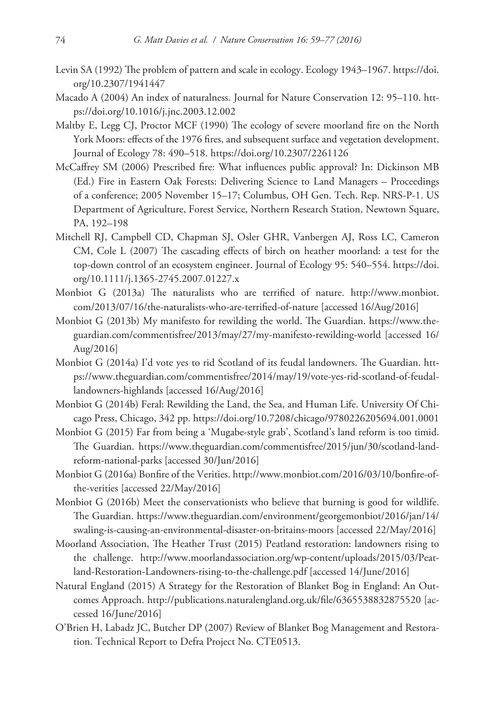- Levin SA (1992) The problem of pattern and scale in ecology. Ecology 1943–1967. [https://doi.](https://doi.org/10.2307/1941447) [org/10.2307/1941447](https://doi.org/10.2307/1941447)
- Macado A (2004) An index of naturalness. Journal for Nature Conservation 12: 95–110. [htt](https://doi.org/10.1016/j.jnc.2003.12.002)[ps://doi.org/10.1016/j.jnc.2003.12.002](https://doi.org/10.1016/j.jnc.2003.12.002)
- Maltby E, Legg CJ, Proctor MCF (1990) The ecology of severe moorland fire on the North York Moors: effects of the 1976 fires, and subsequent surface and vegetation development. Journal of Ecology 78: 490–518.<https://doi.org/10.2307/2261126>
- McCaffrey SM (2006) Prescribed fire: What influences public approval? In: Dickinson MB (Ed.) Fire in Eastern Oak Forests: Delivering Science to Land Managers – Proceedings of a conference; 2005 November 15–17; Columbus, OH Gen. Tech. Rep. NRS-P-1. US Department of Agriculture, Forest Service, Northern Research Station, Newtown Square, PA, 192–198
- Mitchell RJ, Campbell CD, Chapman SJ, Osler GHR, Vanbergen AJ, Ross LC, Cameron CM, Cole L (2007) The cascading effects of birch on heather moorland: a test for the top-down control of an ecosystem engineer. Journal of Ecology 95: 540–554. [https://doi.](https://doi.org/10.1111/j.1365-2745.2007.01227.x) [org/10.1111/j.1365-2745.2007.01227.x](https://doi.org/10.1111/j.1365-2745.2007.01227.x)
- Monbiot G (2013a) The naturalists who are terrified of nature. [http://www.monbiot.](http://www.monbiot.com/2013/07/16/the-naturalists-who-are-terrified-of-nature) [com/2013/07/16/the-naturalists-who-are-terrified-of-nature](http://www.monbiot.com/2013/07/16/the-naturalists-who-are-terrified-of-nature) [accessed 16/Aug/2016]
- Monbiot G (2013b) My manifesto for rewilding the world. The Guardian. [https://www.the](https://www.theguardian.com/commentisfree/2013/may/27/my-manifesto-rewilding-world)[guardian.com/commentisfree/2013/may/27/my-manifesto-rewilding-world](https://www.theguardian.com/commentisfree/2013/may/27/my-manifesto-rewilding-world) [accessed 16/ Aug/2016]
- Monbiot G (2014a) I'd vote yes to rid Scotland of its feudal landowners. The Guardian. [htt](https://www.theguardian.com/commentisfree/2014/may/19/vote-yes-rid-scotland-of-feudal-landowners-highlands)[ps://www.theguardian.com/commentisfree/2014/may/19/vote-yes-rid-scotland-of-feudal](https://www.theguardian.com/commentisfree/2014/may/19/vote-yes-rid-scotland-of-feudal-landowners-highlands)[landowners-highlands](https://www.theguardian.com/commentisfree/2014/may/19/vote-yes-rid-scotland-of-feudal-landowners-highlands) [accessed 16/Aug/2016]
- Monbiot G (2014b) Feral: Rewilding the Land, the Sea, and Human Life. University Of Chicago Press, Chicago, 342 pp. <https://doi.org/10.7208/chicago/9780226205694.001.0001>
- Monbiot G (2015) Far from being a 'Mugabe-style grab', Scotland's land reform is too timid. The Guardian. [https://www.theguardian.com/commentisfree/2015/jun/30/scotland-land](https://www.theguardian.com/commentisfree/2015/jun/30/scotland-land-reform-national-parks)[reform-national-parks](https://www.theguardian.com/commentisfree/2015/jun/30/scotland-land-reform-national-parks) [accessed 30/Jun/2016]
- Monbiot G (2016a) Bonfire of the Verities. [http://www.monbiot.com/2016/03/10/bonfire-of](http://www.monbiot.com/2016/03/10/bonfire-of-the-verities)[the-verities](http://www.monbiot.com/2016/03/10/bonfire-of-the-verities) [accessed 22/May/2016]
- Monbiot G (2016b) Meet the conservationists who believe that burning is good for wildlife. The Guardian. [https://www.theguardian.com/environment/georgemonbiot/2016/jan/14/](https://www.theguardian.com/environment/georgemonbiot/2016/jan/14/swaling-is-causing-an-environmental-disaster-on-britains-moors) [swaling-is-causing-an-environmental-disaster-on-britains-moors](https://www.theguardian.com/environment/georgemonbiot/2016/jan/14/swaling-is-causing-an-environmental-disaster-on-britains-moors) [accessed 22/May/2016]
- Moorland Association, The Heather Trust (2015) Peatland restoration: landowners rising to the challenge. [http://www.moorlandassociation.org/wp-content/uploads/2015/03/Peat](http://www.moorlandassociation.org/wp-content/uploads/2015/03/Peatland-Restoration-Landowners-rising-to-the-challenge.pdf)[land-Restoration-Landowners-rising-to-the-challenge.pdf](http://www.moorlandassociation.org/wp-content/uploads/2015/03/Peatland-Restoration-Landowners-rising-to-the-challenge.pdf) [accessed 14/June/2016]
- Natural England (2015) A Strategy for the Restoration of Blanket Bog in England: An Outcomes Approach. <http://publications.naturalengland.org.uk/file/6365538832875520> [accessed 16/June/2016]
- O'Brien H, Labadz JC, Butcher DP (2007) Review of Blanket Bog Management and Restoration. Technical Report to Defra Project No. CTE0513.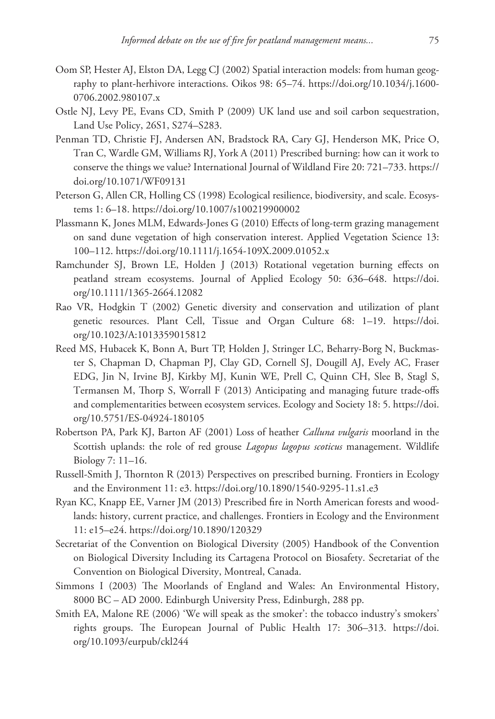- Oom SP, Hester AJ, Elston DA, Legg CJ (2002) Spatial interaction models: from human geography to plant-herhivore interactions. Oikos 98: 65–74. [https://doi.org/10.1034/j.1600-](https://doi.org/10.1034/j.1600-0706.2002.980107.x) [0706.2002.980107.x](https://doi.org/10.1034/j.1600-0706.2002.980107.x)
- Ostle NJ, Levy PE, Evans CD, Smith P (2009) UK land use and soil carbon sequestration, Land Use Policy, 26S1, S274–S283.
- Penman TD, Christie FJ, Andersen AN, Bradstock RA, Cary GJ, Henderson MK, Price O, Tran C, Wardle GM, Williams RJ, York A (2011) Prescribed burning: how can it work to conserve the things we value? International Journal of Wildland Fire 20: 721–733. [https://](https://doi.org/10.1071/WF09131) [doi.org/10.1071/WF09131](https://doi.org/10.1071/WF09131)
- Peterson G, Allen CR, Holling CS (1998) Ecological resilience, biodiversity, and scale. Ecosystems 1: 6–18.<https://doi.org/10.1007/s100219900002>
- Plassmann K, Jones MLM, Edwards-Jones G (2010) Effects of long-term grazing management on sand dune vegetation of high conservation interest. Applied Vegetation Science 13: 100–112.<https://doi.org/10.1111/j.1654-109X.2009.01052.x>
- Ramchunder SJ, Brown LE, Holden J (2013) Rotational vegetation burning effects on peatland stream ecosystems. Journal of Applied Ecology 50: 636–648. [https://doi.](https://doi.org/10.1111/1365-2664.12082) [org/10.1111/1365-2664.12082](https://doi.org/10.1111/1365-2664.12082)
- Rao VR, Hodgkin T (2002) Genetic diversity and conservation and utilization of plant genetic resources. Plant Cell, Tissue and Organ Culture 68: 1–19. [https://doi.](https://doi.org/10.1023/A:1013359015812) [org/10.1023/A:1013359015812](https://doi.org/10.1023/A:1013359015812)
- Reed MS, Hubacek K, Bonn A, Burt TP, Holden J, Stringer LC, Beharry-Borg N, Buckmaster S, Chapman D, Chapman PJ, Clay GD, Cornell SJ, Dougill AJ, Evely AC, Fraser EDG, Jin N, Irvine BJ, Kirkby MJ, Kunin WE, Prell C, Quinn CH, Slee B, Stagl S, Termansen M, Thorp S, Worrall F (2013) Anticipating and managing future trade-offs and complementarities between ecosystem services. Ecology and Society 18: 5. [https://doi.](https://doi.org/10.5751/ES-04924-180105) [org/10.5751/ES-04924-180105](https://doi.org/10.5751/ES-04924-180105)
- Robertson PA, Park KJ, Barton AF (2001) Loss of heather *Calluna vulgaris* moorland in the Scottish uplands: the role of red grouse *Lagopus lagopus scoticus* management. Wildlife Biology 7: 11–16.
- Russell-Smith J, Thornton R (2013) Perspectives on prescribed burning. Frontiers in Ecology and the Environment 11: e3. <https://doi.org/10.1890/1540-9295-11.s1.e3>
- Ryan KC, Knapp EE, Varner JM (2013) Prescribed fire in North American forests and woodlands: history, current practice, and challenges. Frontiers in Ecology and the Environment 11: e15–e24. <https://doi.org/10.1890/120329>
- Secretariat of the Convention on Biological Diversity (2005) Handbook of the Convention on Biological Diversity Including its Cartagena Protocol on Biosafety. Secretariat of the Convention on Biological Diversity, Montreal, Canada.
- Simmons I (2003) The Moorlands of England and Wales: An Environmental History, 8000 BC – AD 2000. Edinburgh University Press, Edinburgh, 288 pp.
- Smith EA, Malone RE (2006) 'We will speak as the smoker': the tobacco industry's smokers' rights groups. The European Journal of Public Health 17: 306–313. [https://doi.](https://doi.org/10.1093/eurpub/ckl244) [org/10.1093/eurpub/ckl244](https://doi.org/10.1093/eurpub/ckl244)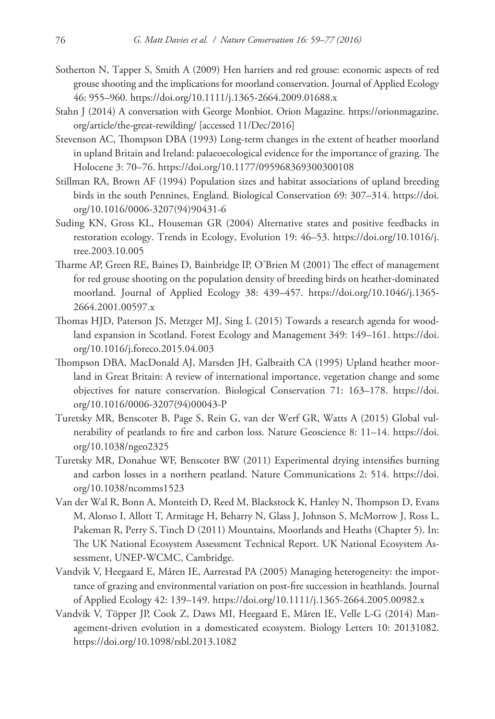- Sotherton N, Tapper S, Smith A (2009) Hen harriers and red grouse: economic aspects of red grouse shooting and the implications for moorland conservation. Journal of Applied Ecology 46: 955–960.<https://doi.org/10.1111/j.1365-2664.2009.01688.x>
- Stahn J (2014) A conversation with George Monbiot. Orion Magazine. [https://orionmagazine.](https://orionmagazine.org/article/the-great-rewilding/) [org/article/the-great-rewilding/](https://orionmagazine.org/article/the-great-rewilding/) [accessed 11/Dec/2016]
- Stevenson AC, Thompson DBA (1993) Long-term changes in the extent of heather moorland in upland Britain and Ireland: palaeoecological evidence for the importance of grazing. The Holocene 3: 70–76. <https://doi.org/10.1177/095968369300300108>
- Stillman RA, Brown AF (1994) Population sizes and habitat associations of upland breeding birds in the south Pennines, England. Biological Conservation 69: 307–314. [https://doi.](https://doi.org/10.1016/0006-3207(94) [org/10.1016/0006-3207\(94\)](https://doi.org/10.1016/0006-3207(94)90431-6
- Suding KN, Gross KL, Houseman GR (2004) Alternative states and positive feedbacks in restoration ecology. Trends in Ecology, Evolution 19: 46–53. [https://doi.org/10.1016/j.](https://doi.org/10.1016/j.tree.2003.10.005) [tree.2003.10.005](https://doi.org/10.1016/j.tree.2003.10.005)
- Tharme AP, Green RE, Baines D, Bainbridge IP, O'Brien M (2001) The effect of management for red grouse shooting on the population density of breeding birds on heather-dominated moorland. Journal of Applied Ecology 38: 439–457. [https://doi.org/10.1046/j.1365-](https://doi.org/10.1046/j.1365-2664.2001.00597.x) [2664.2001.00597.x](https://doi.org/10.1046/j.1365-2664.2001.00597.x)
- Thomas HJD, Paterson JS, Metzger MJ, Sing L (2015) Towards a research agenda for woodland expansion in Scotland. Forest Ecology and Management 349: 149–161. [https://doi.](https://doi.org/10.1016/j.foreco.2015.04.003) [org/10.1016/j.foreco.2015.04.003](https://doi.org/10.1016/j.foreco.2015.04.003)
- Thompson DBA, MacDonald AJ, Marsden JH, Galbraith CA (1995) Upland heather moorland in Great Britain: A review of international importance, vegetation change and some objectives for nature conservation. Biological Conservation 71: 163–178. [https://doi.](https://doi.org/10.1016/0006-3207(94) [org/10.1016/0006-3207\(94\)](https://doi.org/10.1016/0006-3207(94)00043-P
- Turetsky MR, Benscoter B, Page S, Rein G, van der Werf GR, Watts A (2015) Global vulnerability of peatlands to fire and carbon loss. Nature Geoscience 8: 11–14. [https://doi.](https://doi.org/10.1038/ngeo2325) [org/10.1038/ngeo2325](https://doi.org/10.1038/ngeo2325)
- Turetsky MR, Donahue WF, Benscoter BW (2011) Experimental drying intensifies burning and carbon losses in a northern peatland. Nature Communications 2: 514. [https://doi.](https://doi.org/10.1038/ncomms1523) [org/10.1038/ncomms1523](https://doi.org/10.1038/ncomms1523)
- Van der Wal R, Bonn A, Monteith D, Reed M, Blackstock K, Hanley N, Thompson D, Evans M, Alonso I, Allott T, Armitage H, Beharry N, Glass J, Johnson S, McMorrow J, Ross L, Pakeman R, Perry S, Tinch D (2011) Mountains, Moorlands and Heaths (Chapter 5). In: The UK National Ecosystem Assessment Technical Report. UK National Ecosystem Assessment, UNEP-WCMC, Cambridge.
- Vandvik V, Heegaard E, Måren IE, Aarrestad PA (2005) Managing heterogeneity: the importance of grazing and environmental variation on post-fire succession in heathlands. Journal of Applied Ecology 42: 139–149.<https://doi.org/10.1111/j.1365-2664.2005.00982.x>
- Vandvik V, Töpper JP, Cook Z, Daws MI, Heegaard E, Måren IE, Velle L-G (2014) Management-driven evolution in a domesticated ecosystem. Biology Letters 10: 20131082. <https://doi.org/10.1098/rsbl.2013.1082>